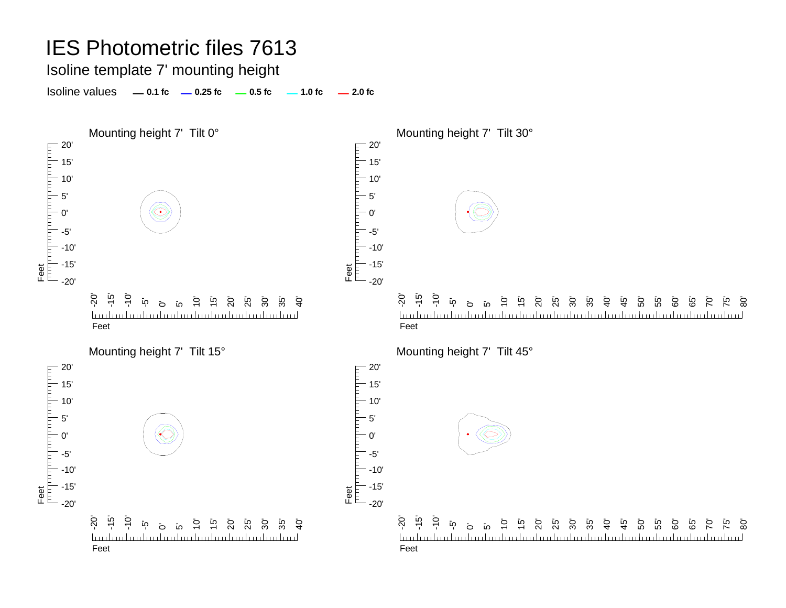Isoline template 7' mounting height

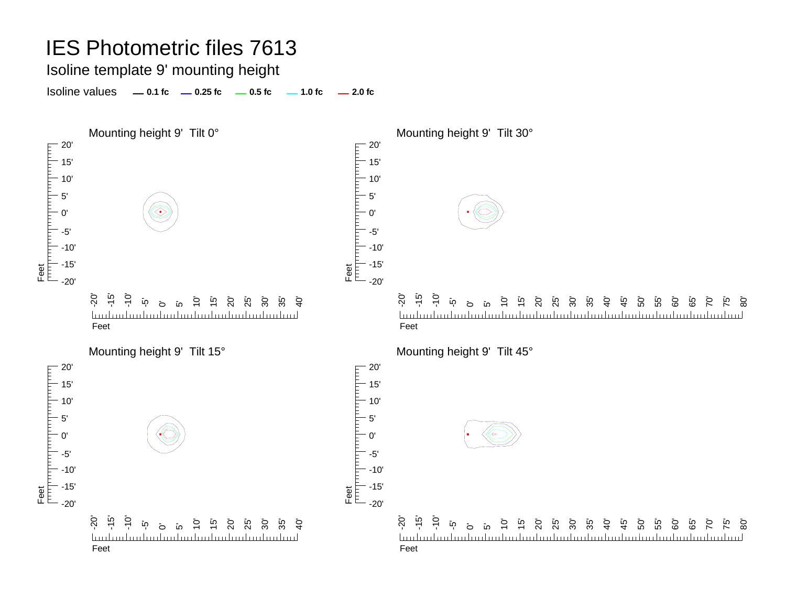Isoline template 9' mounting height

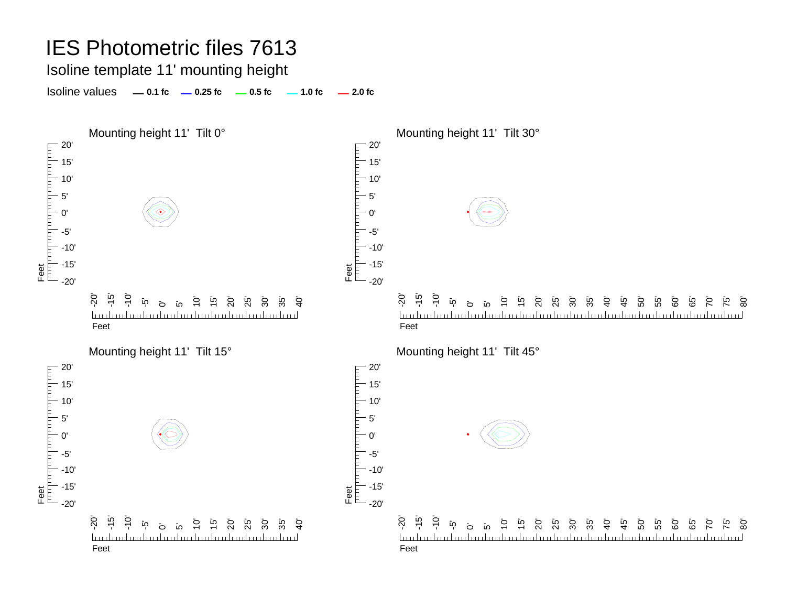Isoline template 11' mounting height

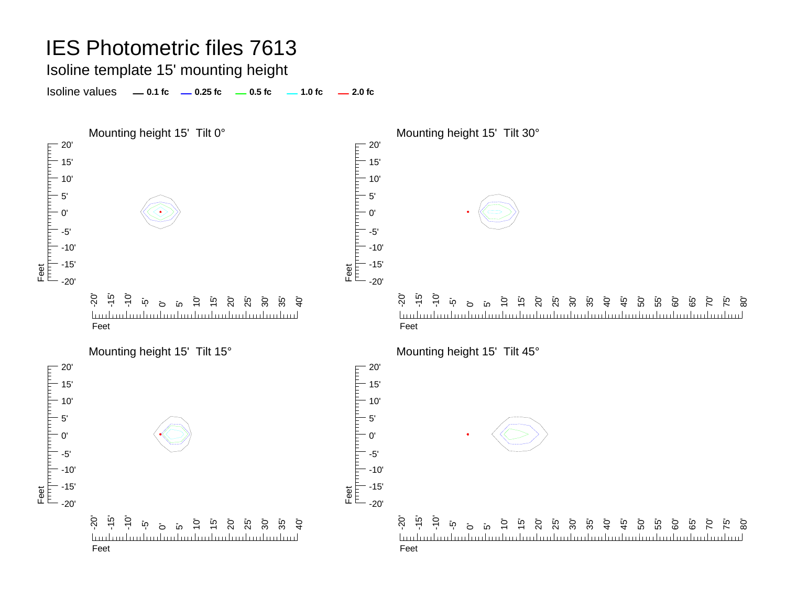Isoline template 15' mounting height

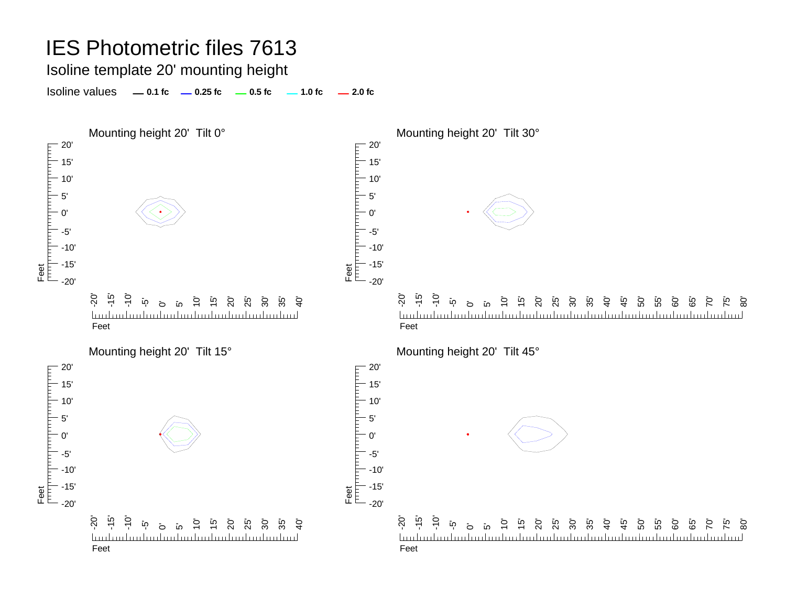Isoline template 20' mounting height

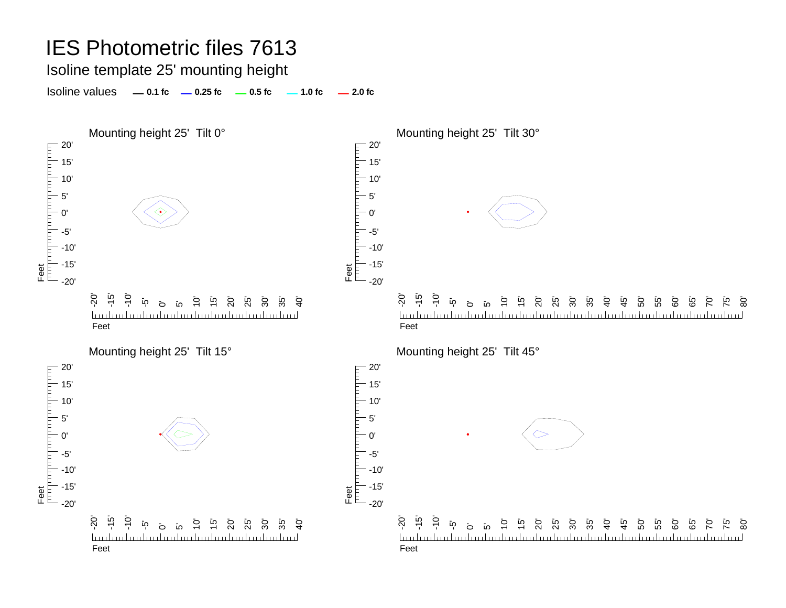Isoline template 25' mounting height